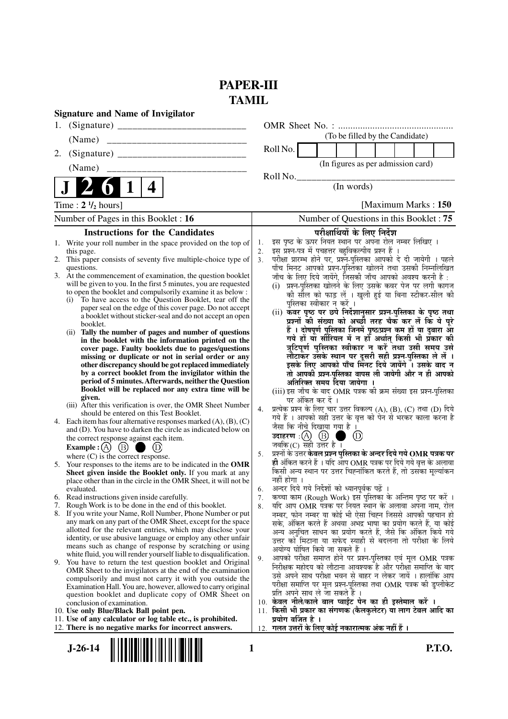## **PAPER-III TAMIL**

| <b>Signature and Name of Invigilator</b>                                                                                                                                                                                                                                                                                                                                                                                                                                                                                                                                                                                                                                                                                                                                                                                                                                                                                                                                                                                                                                                                                                                                                                                                                                                                                                                                                                                                                                                                                                                                                                                                                                                                                                                                                                                                                                                                                                                                                                                                                                                                                                                                                                                                                                                                                                                                                        |                                                                                                                                                                                                                                                                                                                                                                                                                                                                                                                                                                                                                                                                                                                                                                                                                                                                                                                                                                                                                                                                                                                                                                                                                                                                                                                                                                                                                                                                                                                                                                                                                                                                                                                                                                                                                                                                                                                                                                                                                                                                                                                                                                                                                                                                                                                                                                                                                                            |
|-------------------------------------------------------------------------------------------------------------------------------------------------------------------------------------------------------------------------------------------------------------------------------------------------------------------------------------------------------------------------------------------------------------------------------------------------------------------------------------------------------------------------------------------------------------------------------------------------------------------------------------------------------------------------------------------------------------------------------------------------------------------------------------------------------------------------------------------------------------------------------------------------------------------------------------------------------------------------------------------------------------------------------------------------------------------------------------------------------------------------------------------------------------------------------------------------------------------------------------------------------------------------------------------------------------------------------------------------------------------------------------------------------------------------------------------------------------------------------------------------------------------------------------------------------------------------------------------------------------------------------------------------------------------------------------------------------------------------------------------------------------------------------------------------------------------------------------------------------------------------------------------------------------------------------------------------------------------------------------------------------------------------------------------------------------------------------------------------------------------------------------------------------------------------------------------------------------------------------------------------------------------------------------------------------------------------------------------------------------------------------------------------|--------------------------------------------------------------------------------------------------------------------------------------------------------------------------------------------------------------------------------------------------------------------------------------------------------------------------------------------------------------------------------------------------------------------------------------------------------------------------------------------------------------------------------------------------------------------------------------------------------------------------------------------------------------------------------------------------------------------------------------------------------------------------------------------------------------------------------------------------------------------------------------------------------------------------------------------------------------------------------------------------------------------------------------------------------------------------------------------------------------------------------------------------------------------------------------------------------------------------------------------------------------------------------------------------------------------------------------------------------------------------------------------------------------------------------------------------------------------------------------------------------------------------------------------------------------------------------------------------------------------------------------------------------------------------------------------------------------------------------------------------------------------------------------------------------------------------------------------------------------------------------------------------------------------------------------------------------------------------------------------------------------------------------------------------------------------------------------------------------------------------------------------------------------------------------------------------------------------------------------------------------------------------------------------------------------------------------------------------------------------------------------------------------------------------------------------|
|                                                                                                                                                                                                                                                                                                                                                                                                                                                                                                                                                                                                                                                                                                                                                                                                                                                                                                                                                                                                                                                                                                                                                                                                                                                                                                                                                                                                                                                                                                                                                                                                                                                                                                                                                                                                                                                                                                                                                                                                                                                                                                                                                                                                                                                                                                                                                                                                 |                                                                                                                                                                                                                                                                                                                                                                                                                                                                                                                                                                                                                                                                                                                                                                                                                                                                                                                                                                                                                                                                                                                                                                                                                                                                                                                                                                                                                                                                                                                                                                                                                                                                                                                                                                                                                                                                                                                                                                                                                                                                                                                                                                                                                                                                                                                                                                                                                                            |
| (Name)                                                                                                                                                                                                                                                                                                                                                                                                                                                                                                                                                                                                                                                                                                                                                                                                                                                                                                                                                                                                                                                                                                                                                                                                                                                                                                                                                                                                                                                                                                                                                                                                                                                                                                                                                                                                                                                                                                                                                                                                                                                                                                                                                                                                                                                                                                                                                                                          | (To be filled by the Candidate)                                                                                                                                                                                                                                                                                                                                                                                                                                                                                                                                                                                                                                                                                                                                                                                                                                                                                                                                                                                                                                                                                                                                                                                                                                                                                                                                                                                                                                                                                                                                                                                                                                                                                                                                                                                                                                                                                                                                                                                                                                                                                                                                                                                                                                                                                                                                                                                                            |
| (Signature)<br>2.                                                                                                                                                                                                                                                                                                                                                                                                                                                                                                                                                                                                                                                                                                                                                                                                                                                                                                                                                                                                                                                                                                                                                                                                                                                                                                                                                                                                                                                                                                                                                                                                                                                                                                                                                                                                                                                                                                                                                                                                                                                                                                                                                                                                                                                                                                                                                                               | Roll No.                                                                                                                                                                                                                                                                                                                                                                                                                                                                                                                                                                                                                                                                                                                                                                                                                                                                                                                                                                                                                                                                                                                                                                                                                                                                                                                                                                                                                                                                                                                                                                                                                                                                                                                                                                                                                                                                                                                                                                                                                                                                                                                                                                                                                                                                                                                                                                                                                                   |
| (Name)                                                                                                                                                                                                                                                                                                                                                                                                                                                                                                                                                                                                                                                                                                                                                                                                                                                                                                                                                                                                                                                                                                                                                                                                                                                                                                                                                                                                                                                                                                                                                                                                                                                                                                                                                                                                                                                                                                                                                                                                                                                                                                                                                                                                                                                                                                                                                                                          | (In figures as per admission card)                                                                                                                                                                                                                                                                                                                                                                                                                                                                                                                                                                                                                                                                                                                                                                                                                                                                                                                                                                                                                                                                                                                                                                                                                                                                                                                                                                                                                                                                                                                                                                                                                                                                                                                                                                                                                                                                                                                                                                                                                                                                                                                                                                                                                                                                                                                                                                                                         |
| 4                                                                                                                                                                                                                                                                                                                                                                                                                                                                                                                                                                                                                                                                                                                                                                                                                                                                                                                                                                                                                                                                                                                                                                                                                                                                                                                                                                                                                                                                                                                                                                                                                                                                                                                                                                                                                                                                                                                                                                                                                                                                                                                                                                                                                                                                                                                                                                                               | Roll No.<br>(In words)                                                                                                                                                                                                                                                                                                                                                                                                                                                                                                                                                                                                                                                                                                                                                                                                                                                                                                                                                                                                                                                                                                                                                                                                                                                                                                                                                                                                                                                                                                                                                                                                                                                                                                                                                                                                                                                                                                                                                                                                                                                                                                                                                                                                                                                                                                                                                                                                                     |
| Time : $2 \frac{1}{2}$ hours]                                                                                                                                                                                                                                                                                                                                                                                                                                                                                                                                                                                                                                                                                                                                                                                                                                                                                                                                                                                                                                                                                                                                                                                                                                                                                                                                                                                                                                                                                                                                                                                                                                                                                                                                                                                                                                                                                                                                                                                                                                                                                                                                                                                                                                                                                                                                                                   | [Maximum Marks: 150]                                                                                                                                                                                                                                                                                                                                                                                                                                                                                                                                                                                                                                                                                                                                                                                                                                                                                                                                                                                                                                                                                                                                                                                                                                                                                                                                                                                                                                                                                                                                                                                                                                                                                                                                                                                                                                                                                                                                                                                                                                                                                                                                                                                                                                                                                                                                                                                                                       |
| Number of Pages in this Booklet : 16                                                                                                                                                                                                                                                                                                                                                                                                                                                                                                                                                                                                                                                                                                                                                                                                                                                                                                                                                                                                                                                                                                                                                                                                                                                                                                                                                                                                                                                                                                                                                                                                                                                                                                                                                                                                                                                                                                                                                                                                                                                                                                                                                                                                                                                                                                                                                            | Number of Questions in this Booklet: 75                                                                                                                                                                                                                                                                                                                                                                                                                                                                                                                                                                                                                                                                                                                                                                                                                                                                                                                                                                                                                                                                                                                                                                                                                                                                                                                                                                                                                                                                                                                                                                                                                                                                                                                                                                                                                                                                                                                                                                                                                                                                                                                                                                                                                                                                                                                                                                                                    |
| <b>Instructions for the Candidates</b>                                                                                                                                                                                                                                                                                                                                                                                                                                                                                                                                                                                                                                                                                                                                                                                                                                                                                                                                                                                                                                                                                                                                                                                                                                                                                                                                                                                                                                                                                                                                                                                                                                                                                                                                                                                                                                                                                                                                                                                                                                                                                                                                                                                                                                                                                                                                                          | परीक्षार्थियों के लिए निर्देश                                                                                                                                                                                                                                                                                                                                                                                                                                                                                                                                                                                                                                                                                                                                                                                                                                                                                                                                                                                                                                                                                                                                                                                                                                                                                                                                                                                                                                                                                                                                                                                                                                                                                                                                                                                                                                                                                                                                                                                                                                                                                                                                                                                                                                                                                                                                                                                                              |
| 1. Write your roll number in the space provided on the top of<br>this page.<br>2. This paper consists of seventy five multiple-choice type of<br>questions.<br>3. At the commencement of examination, the question booklet<br>will be given to you. In the first 5 minutes, you are requested<br>to open the booklet and compulsorily examine it as below :<br>To have access to the Question Booklet, tear off the<br>(i)<br>paper seal on the edge of this cover page. Do not accept<br>a booklet without sticker-seal and do not accept an open<br>booklet.<br>Tally the number of pages and number of questions<br>(i)<br>in the booklet with the information printed on the<br>cover page. Faulty booklets due to pages/questions<br>missing or duplicate or not in serial order or any<br>other discrepancy should be got replaced immediately<br>by a correct booklet from the invigilator within the<br>period of 5 minutes. Afterwards, neither the Question<br>Booklet will be replaced nor any extra time will be<br>given.<br>(iii) After this verification is over, the OMR Sheet Number<br>should be entered on this Test Booklet.<br>4. Each item has four alternative responses marked $(A)$ , $(B)$ , $(C)$<br>and (D). You have to darken the circle as indicated below on<br>the correct response against each item.<br>Example : (A) $(B)$<br>(D)<br>where $(C)$ is the correct response.<br>5. Your responses to the items are to be indicated in the OMR<br>Sheet given inside the Booklet only. If you mark at any<br>place other than in the circle in the OMR Sheet, it will not be<br>evaluated.<br>6. Read instructions given inside carefully.<br>Rough Work is to be done in the end of this booklet.<br>7.<br>8. If you write your Name, Roll Number, Phone Number or put<br>any mark on any part of the OMR Sheet, except for the space<br>allotted for the relevant entries, which may disclose your<br>identity, or use abusive language or employ any other unfair<br>means such as change of response by scratching or using<br>white fluid, you will render yourself liable to disqualification.<br>9. You have to return the test question booklet and Original<br>OMR Sheet to the invigilators at the end of the examination<br>compulsorily and must not carry it with you outside the<br>Examination Hall. You are, however, allowed to carry original | इस पृष्ठ के ऊपर नियत स्थान पर अपना रोल नम्बर लिखिए ।<br>1.<br>इस प्रश्न-पत्र में पचहत्तर बहुविकल्पीय प्रश्न हैं ।<br>2.<br>परीक्षा प्रारम्भ होने पर, प्रश्नॅ-पुस्तिका आपको दे दी जायेगी । पहले<br>3.<br>पाँच मिनट आपको प्रश्न-पुस्तिका खोलने तथा उसकी निम्नलिखित<br>जाँच के लिए दिये जायेंगे, जिसकी जाँच आपको अवश्य करनी है :<br>(i) प्रश्न-पुस्तिका खोलने के लिए उसके कवर पेज पर लगी कागज<br>की सील को फाड़ लें । खुली हुई या बिना स्टीकर-सील की<br>पुस्तिका स्वीकार न करें ।<br>(ii) कवर पृष्ठ पर छपे निर्देशानुसार प्रश्न-पुस्तिका के पृष्ठ तथा<br>प्रश्नों की संख्या को अच्छी तरह चैक कर लें कि ये पूरे<br>हैं । दोषपूर्ण पुस्तिका जिनमें पृष्ठ/प्रश्न कम हों या दुबारा आ<br>गये हों या सौरियल में न हों अर्थात किसी भी प्रकार की<br>त्रुटिपूर्ण पुस्तिका स्वीकार न करें तथा उसी समय उसे<br>लौटाकर उसके स्थान पर दूसरी सही प्रश्न-पुस्तिका ले लें ।<br>इसके लिए आपको पाँच मिनट दिये जायेंगे । उसके बाद न<br>तो आपकी प्रश्न-पुस्तिका वापस ली जायेगी और न ही आपको<br>अतिरिक्त समय दिया जायेगा ।<br>(iii) इस जाँच के बाद OMR पत्रक की क्रम संख्या इस प्रश्न-पुस्तिका<br>पर अंकित कर दें ।<br>प्रत्येक प्रश्न के लिए चार उत्तर विकल्प (A), (B), (C) तथा (D) दिये<br>4.<br>गये हैं । आपको सही उत्तर के वृत्त को पेन से भरकर काला करना है<br>जैसा कि नीचे दिखाया गया है ।<br>उदाहरण $\,$ :( $\,$ ) $\,$ ( $\,$ ) $\,$<br>$\left(\!\!\left[\!\!\left[0\right]\!\!\right]\!\!\right)$<br>जबकि (C) सही उत्तर है $\overline{1}$<br>प्रश्नों के उत्तर <b>केवल प्रश्न पुस्तिका के अन्दर दिये गये OMR पत्रक पर</b><br>5.<br>ही अंकित करने हैं । यदि आप OMR पत्रक पर दिये गये वृत्त के अलावा<br>किसी अन्य स्थान पर उत्तर चिह्नांकित करते हैं, तो उसका मूल्यांकन<br>नहीं होगा ।<br>अन्दर दिये गये निर्देशों को ध्यानपूर्वक पढ़ें ।<br>6.<br>कच्चा काम (Rough Work) इस पुस्तिका के अन्तिम पृष्ठ पर करें ।<br>7.<br>यदि आप OMR पत्रक पर नियत स्थान के अलावा अपना नाम, रोल<br>8.<br>नम्बर, फोन नम्बर या कोई भी ऐसा चिह्न जिससे आपकी पहचान हो<br>सके, अंकित करते हैं अथवा अभद्र भाषा का प्रयोग करते हैं, या कोई<br>अन्य अनुचित साधन का प्रयोग करते हैं, जैसे कि अंकित किये गये<br>उत्तर को मिटाना या सफेद स्याही से बदलना तो परीक्षा के लिये<br>अयोग्य घोषित किये जा सकते हैं ।<br>आपको परीक्षा समाप्त होने पर प्रश्न-पुस्तिका एवं मूल OMR पत्रक<br>9.<br>निरीक्षक महोदय को लौटाना आवश्यक है और परीक्षा समाप्ति के बाद<br>उसे अपने साथ परीक्षा भवन से बाहर न लेकर जायें । हालांकि आप<br>परीक्षा समाप्ति पर मूल प्रश्न-पुस्तिका तथा OMR पत्रक की डुप्लीकेट |
| question booklet and duplicate copy of OMR Sheet on<br>conclusion of examination.<br>10. Use only Blue/Black Ball point pen.<br>11. Use of any calculator or log table etc., is prohibited.<br>12. There is no negative marks for incorrect answers.                                                                                                                                                                                                                                                                                                                                                                                                                                                                                                                                                                                                                                                                                                                                                                                                                                                                                                                                                                                                                                                                                                                                                                                                                                                                                                                                                                                                                                                                                                                                                                                                                                                                                                                                                                                                                                                                                                                                                                                                                                                                                                                                            | प्रति अपने साथ ले जा सकते हैं ।<br>10. केवल नीले/काले बाल प्वाईंट पेन का ही इस्तेमाल करें ।<br>किसी भी प्रकार का संगणक (कैलकुलेटर) या लाग टेबल आदि का<br>11.<br>प्रयोग वर्जित है ।<br>गलत उत्तरों के लिए कोई नकारात्मक अंक नहीं हैं ।<br>12.                                                                                                                                                                                                                                                                                                                                                                                                                                                                                                                                                                                                                                                                                                                                                                                                                                                                                                                                                                                                                                                                                                                                                                                                                                                                                                                                                                                                                                                                                                                                                                                                                                                                                                                                                                                                                                                                                                                                                                                                                                                                                                                                                                                               |
| $J-26-14$                                                                                                                                                                                                                                                                                                                                                                                                                                                                                                                                                                                                                                                                                                                                                                                                                                                                                                                                                                                                                                                                                                                                                                                                                                                                                                                                                                                                                                                                                                                                                                                                                                                                                                                                                                                                                                                                                                                                                                                                                                                                                                                                                                                                                                                                                                                                                                                       | <b>P.T.O.</b><br>1                                                                                                                                                                                                                                                                                                                                                                                                                                                                                                                                                                                                                                                                                                                                                                                                                                                                                                                                                                                                                                                                                                                                                                                                                                                                                                                                                                                                                                                                                                                                                                                                                                                                                                                                                                                                                                                                                                                                                                                                                                                                                                                                                                                                                                                                                                                                                                                                                         |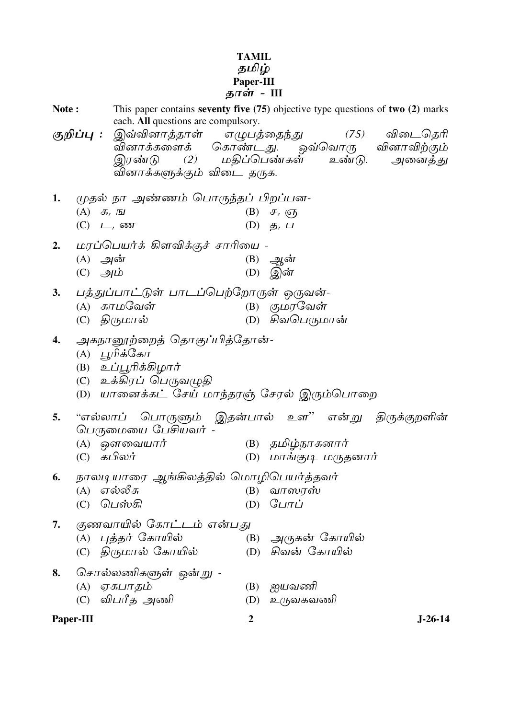# TAMIL<br>தமிழ்<br>Paper-III<br>தாள் - III

| Note: |                                              | This paper contains seventy five $(75)$ objective type questions of two $(2)$ marks<br>each. All questions are compulsory. |                  |                                  |               |
|-------|----------------------------------------------|----------------------------------------------------------------------------------------------------------------------------|------------------|----------------------------------|---------------|
|       | குறிப்பு :                                   | இவ்வினாத்தாள் எழுபத்தைந்து                                                                                                 |                  |                                  | (75) விடைதெரி |
|       |                                              | வினாக்களைக் கொண்டது. ஒவ்வொரு வினாவிற்கும்                                                                                  |                  |                                  |               |
|       |                                              | இரண்டு (2) மதிப்பெண்கள் உண்டு. அனைத்து                                                                                     |                  |                                  |               |
|       |                                              | வினாக்களுக்கும் விடை தருக.                                                                                                 |                  |                                  |               |
|       |                                              |                                                                                                                            |                  |                                  |               |
| 1.    |                                              | முதல் நா அண்ணம் பொருந்தப் பிறப்பன-                                                                                         |                  |                                  |               |
|       | $(A)$ $\mathcal{F}$ , $\mathcal{F}$          |                                                                                                                            |                  | $(B)$ $\sigma$ , $\sigma$        |               |
|       |                                              | $(C)$ $\Box$ , $\omega$                                                                                                    |                  | (D) $\mathfrak{G}, \mathfrak{L}$ |               |
| 2.    |                                              | மரப்பெயர்க் கிளவிக்குச் சாரியை -                                                                                           |                  |                                  |               |
|       | $(A)$ அன்                                    |                                                                                                                            |                  | $(B)$ ஆன்                        |               |
|       | $(C)$ $\mathscr{A}$ $\mathring{\mathscr{D}}$ |                                                                                                                            |                  | $(D)$ இன்                        |               |
|       |                                              |                                                                                                                            |                  |                                  |               |
| 3.    |                                              | பத்துப்பாட்டுள் பாடப்பெற்றோருள் ஒருவன்-                                                                                    |                  |                                  |               |
|       |                                              | $(A)$ காமவேள்                                                                                                              |                  | $(B)$ குமரவேள்                   |               |
|       |                                              | (C) திருமால்                                                                                                               |                  | (D) சிவபெருமான்                  |               |
| 4.    |                                              | அகநானூற்றைத் தொகுப்பித்தோன்-                                                                                               |                  |                                  |               |
|       |                                              | (A) பூரிக்கோ                                                                                                               |                  |                                  |               |
|       |                                              | (B) உப்பூரிக்கிழார்                                                                                                        |                  |                                  |               |
|       |                                              | (C) உக்கிரப் பெருவழுதி                                                                                                     |                  |                                  |               |
|       |                                              | (D)  யானைக்கட் சேய் மாந்தரஞ் சேரல் இரும்பொறை                                                                               |                  |                                  |               |
|       |                                              |                                                                                                                            |                  |                                  |               |
| 5.    |                                              | "எல்லாப் பொருளும் இதன்பால் உள" என்று திருக்குறளின்<br>பெருமையை பேசியவர் -                                                  |                  |                                  |               |
|       |                                              | $(A)$ ஒளவையார்                                                                                                             |                  | (B) தமிழ்நாகனார்                 |               |
|       |                                              | (C) கபிலர்                                                                                                                 |                  | (D) மாங்குடி மருதனார்            |               |
|       |                                              |                                                                                                                            |                  |                                  |               |
| 6.    |                                              | நாலடியாரை ஆங்கிலத்தில் மொழிபெயர்த்தவர்                                                                                     |                  |                                  |               |
|       | (A)                                          | எல்லீசு                                                                                                                    | (B)              | வாஸரஸ்                           |               |
|       | (C)                                          | பெஸ்கி                                                                                                                     | (D)              | போப்                             |               |
| 7.    |                                              | குணவாயில் கோட்டம் என்பது                                                                                                   |                  |                                  |               |
|       |                                              | (A) புத்தர் கோயில்                                                                                                         | (B)              | அருகன் கோயில்                    |               |
|       |                                              | (C) திருமால் கோயில்                                                                                                        | (D)              | சிவன் கோயில்                     |               |
|       |                                              |                                                                                                                            |                  |                                  |               |
| 8.    |                                              | சொல்லணிகளுள் ஒன்று -                                                                                                       |                  |                                  |               |
|       | (A)                                          | ஏகபாதம்                                                                                                                    | (B)              | ஐயவணி                            |               |
|       |                                              | (C) விபரீத அணி                                                                                                             | (D)              | உருவகவணி                         |               |
|       | Paper-III                                    |                                                                                                                            | $\boldsymbol{2}$ |                                  | $J-26-14$     |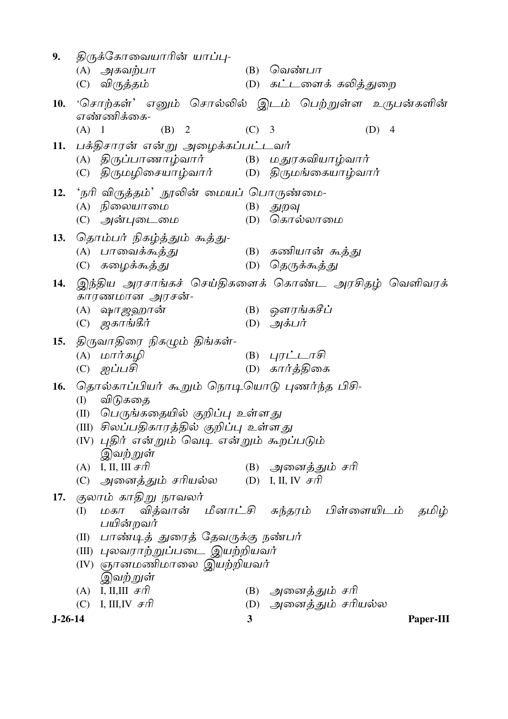| 9.        | திருக்கோவையாரின் யாப்பு-                                              |                                            |         |                                                                                                                                 |                        |     |                |           |
|-----------|-----------------------------------------------------------------------|--------------------------------------------|---------|---------------------------------------------------------------------------------------------------------------------------------|------------------------|-----|----------------|-----------|
|           | $(A)$ அகவற்பா                                                         |                                            | (B)     | வெண்பா                                                                                                                          |                        |     |                |           |
|           | (C) விருத்தம்                                                         |                                            |         |                                                                                                                                 | (D) கட்டளைக் கலித்துறை |     |                |           |
| 10.       | 'சொற்கள்' எனும் சொல்லில் இடம் பெற்றுள்ள உருபன்களின்<br>எண்ணிக்கை-     |                                            |         |                                                                                                                                 |                        |     |                |           |
|           | $(A)$ 1                                                               | (B) 2                                      | $(C)$ 3 |                                                                                                                                 |                        | (D) | $\overline{4}$ |           |
| 11.       | பக்திசாரன் என்று அழைக்கப்பட்டவர்                                      |                                            |         |                                                                                                                                 |                        |     |                |           |
|           | (A) திருப்பாணாழ்வார்      (B) மதுரகவியாழ்வார்                         |                                            |         |                                                                                                                                 |                        |     |                |           |
|           | (C) திருமழிசையாழ்வார்       (D) திருமங்கையாழ்வார்                     |                                            |         |                                                                                                                                 |                        |     |                |           |
| 12.       | 'நரி விருத்தம்' நூலின் மையப் பொருண்மை-                                |                                            |         |                                                                                                                                 |                        |     |                |           |
|           | (A) நிலையாமை                                                          |                                            |         | $(B)$ துறவு                                                                                                                     |                        |     |                |           |
|           | (C) அன்புடைமை                                                         |                                            |         |                                                                                                                                 | (D) கொல்லாமை           |     |                |           |
| 13.       | தொம்பர் நிகழ்த்தும் கூத்து-                                           |                                            |         |                                                                                                                                 |                        |     |                |           |
|           | (A) பாவைக்கூத்து                                                      |                                            |         |                                                                                                                                 | (B) கணியான் கூத்து     |     |                |           |
|           | (C) கழைக்கூத்து                                                       |                                            |         |                                                                                                                                 | (D) தெருக்கூத்து       |     |                |           |
| 14.       | இந்திய அரசாங்கச் செய்திகளைக் கொண்ட அரசிதழ் வெளிவரக்<br>காரணமான அரசன்- |                                            |         |                                                                                                                                 |                        |     |                |           |
|           | (A) ஷாஜஹான்                                                           |                                            |         |                                                                                                                                 | (B) ஔரங்கசீப்          |     |                |           |
|           | $(C)$ ஜகாங்கீர்                                                       |                                            |         | (D) அக்பர்                                                                                                                      |                        |     |                |           |
| 15.       | திருவாதிரை நிகழும் திங்கள்-                                           |                                            |         |                                                                                                                                 |                        |     |                |           |
|           | (A) மார்கழி                                                           |                                            |         | (B) $4\n  4\n  4\n  4\n  4\n  4\n  4\n  4\n  4\n  4\n  4\n  4\n  4\n  4\n  4\n  4\n  4\n  4\n  4\n  4\n  4\n  4\n  4\n  4\n  4$ |                        |     |                |           |
|           | ஐப்பசி<br>(C)                                                         |                                            |         |                                                                                                                                 | (D) கார்த்திகை         |     |                |           |
| 16.       | தொல்காப்பியர் கூறும் நொடியொடு புணர்ந்த பிசி-                          |                                            |         |                                                                                                                                 |                        |     |                |           |
|           | விடுகதை<br>(I)                                                        |                                            |         |                                                                                                                                 |                        |     |                |           |
|           | $(\Pi)$                                                               | பெருங்கதையில் குறிப்பு உள்ளது              |         |                                                                                                                                 |                        |     |                |           |
|           | (III) சிலப்பதிகாரத்தில் குறிப்பு உள்ளது                               |                                            |         |                                                                                                                                 |                        |     |                |           |
|           | (IV) புதிர் என்றும் வெடி என்றும் கூறப்படும்<br>இவற்றுள்               |                                            |         |                                                                                                                                 |                        |     |                |           |
|           | (A) I, II, III $\#$ $\pi$                                             |                                            |         |                                                                                                                                 | (B) அனைத்தும் சரி      |     |                |           |
|           | (C) அனைத்தும் சரியல்ல                                                 |                                            |         | (D) I, II, IV $\mathcal{F}\eta$                                                                                                 |                        |     |                |           |
| 17.       | குலாம் காதிறு நாவலர்                                                  |                                            |         |                                                                                                                                 |                        |     |                |           |
|           | (I)<br>பயின்றவர்                                                      | மகா வித்வான் மீனாட்சி சுந்தரம் பிள்ளையிடம் |         |                                                                                                                                 |                        |     |                | தமிழ்     |
|           | பாண்டித் துரைத் தேவருக்கு நண்பர்<br>(II)                              |                                            |         |                                                                                                                                 |                        |     |                |           |
|           | (III) புலவராற்றுப்படை இயற்றியவர்                                      |                                            |         |                                                                                                                                 |                        |     |                |           |
|           | (IV) ஞானமணிமாலை இயற்றியவர்                                            |                                            |         |                                                                                                                                 |                        |     |                |           |
|           | இவற்றுள்                                                              |                                            |         |                                                                                                                                 |                        |     |                |           |
|           | (A) I, II, III $\mathcal{F}\hat{\pi}$                                 |                                            |         |                                                                                                                                 | (B) அனைத்தும் சரி      |     |                |           |
|           | (C) I, III, IV $\mathcal{F}\eta$                                      |                                            |         |                                                                                                                                 | (D) அனைத்தும் சரியல்ல  |     |                |           |
| $J-26-14$ |                                                                       |                                            | 3       |                                                                                                                                 |                        |     |                | Paper-III |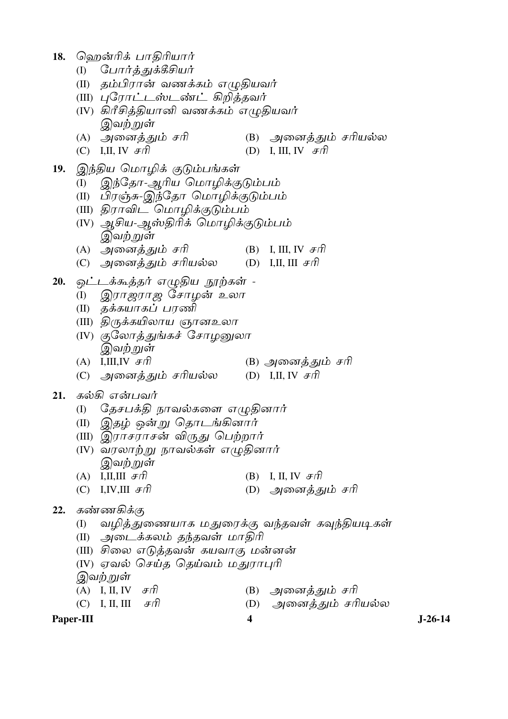18. ஹென்ரிக் பாதிரியார்

- (I) போர்த்துக்கீசியர்
- (II) தம்பிரான் வணக்கம் எழுதியவர்
- (III) புரோட்டஸ்டண்ட் கிறித்தவர்
- (IV) கிரீசித்தியானி வணக்கம் எழுதியவர் இவற்றுள்
- (B) அனைத்தும் சரியல்ல (A) அனைத்தும் சரி
- (C) I,II, IV  $\mathcal{F}\eta$ (D) I, III, IV  $F\hat{\pi}$
- 19. இந்திய மொழிக் குடும்பங்கள்
	- இந்தோ-ஆரிய மொழிக்குடும்பம் (I)
	- (II) பிரஞ்சு-இந்தோ மொழிக்குடும்பம்
	- (III) திராவிட மொழிக்குடும்பம்
	- (IV) ஆசிய-ஆஸ்திரிக் மொழிக்குடும்பம் இவற்றுள்
	- (A) அனைத்தும் சரி (B) I, III, IV  $F\hat{\pi}$
	- (C) அனைத்தும் சரியல்ல (D) I,II, III  $\mathcal{F}\hat{\pi}$
- 20. ஒட்டக்கூத்தர் எழுதிய நூற்கள் -
	- (I) இராஜராஜ சோழன் உலா
	- (II) தக்கயாகப் பரணி
	- (III) திருக்கயிலாய ஞானஉலா
	- (IV) குலோத்துங்கச் சோழனுலா இவற்றுள்
	- (A) I.III.IV  $\mathcal{F}\hat{\mathcal{F}}$ (B) அனைத்தும் சரி
	- (C) அனைத்தும் சரியல்ல (D) I,II, IV  $\mathcal{F}\mathcal{F}$

#### கல்கி என்பவர் 21.

- தேசபக்தி நாவல்களை எழுதினார் (I)
- (II) இதழ் ஒன்*று* தொடங்கினார்
- (III) இராசராசன் விருது பெற்றார்
- (IV) வரலாற்று நாவல்கள் எழுதினார் இவ<u>ற் ற</u>ுள்
- (B) I, II, IV  $\mathcal{F}\hat{\pi}$ (A) I,II,III  $\mathcal{F}\hat{\mathcal{n}}$
- (C) I, IV, III  $Ff$ (D) அனைத்தும் சரி

#### $22.$ கண்ணகிக்கு

- (I) வழித்துணையாக மதுரைக்கு வந்தவள் கவுந்தியடிகள்
- (II) அடைக்கலம் தந்தவள் மாதிரி
- (III) சிலை எடுத்தவன் கயவாகு மன்னன்
- (IV) ஏவல் செய்த தெய்வம் மதுராபுரி

இவற்றுள்

| (A) I, II, IV $F\bar{f}$         | (B) அனைத்தும் சரி       |
|----------------------------------|-------------------------|
| (C) I, II, III $\mathcal{F}\eta$ | (D)   அனைத்தும் சரியல்ல |

 $\overline{\mathbf{4}}$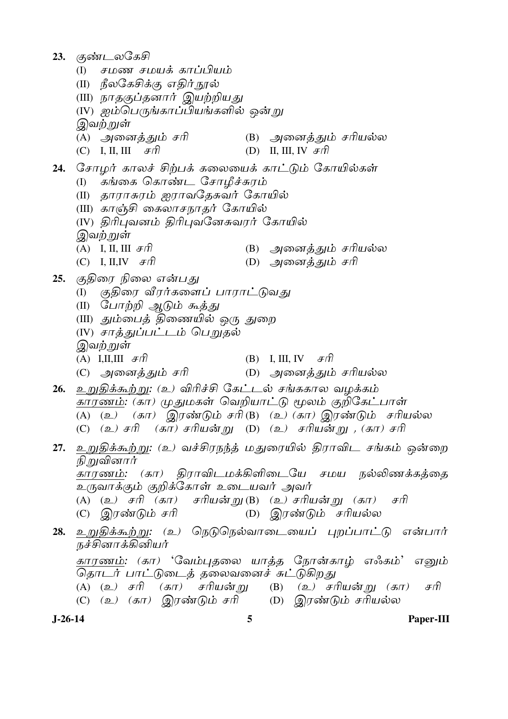23. குண்டலகேசி (I) சமண சமயக் காப்பியம் (II) நீலகேசிக்கு எதிர் நூல் (III) நாதகுப்தனார் இயற்றியது (IV) ஐம்பெருங்காப்பியங்களில் ஒன்று இவற்றுள் (A) அனைத்தும் சரி (B) அனைத்தும் சரியல்ல (C) I, II, III  $\mathcal{F}\hat{\pi}$ (D) II, III, IV  $F\bar{f}$ 24. சோழர் காலச் சிற்பக் கலையைக் காட்டும் கோயில்கள் (I) கங்கை கொண்ட சோழீச்சுரம் (II) தாராசுரம் ஐராவதேசுவர் கோயில் (III) காஞ்சி கைலாசநாதர் கோயில் (IV) திரிபுவனம் திரிபுவனேசுவரர் கோயில் இவ<u>ற் ற</u>ுள் (A) I, II, III  $\mathcal{F}\hat{\Pi}$ (B) அனைத்தும் சரியல்ல (C) I, II, IV  $\mathcal{F}\hat{\Pi}$ (D) அனைத்தும் சரி 25. குதிரை நிலை என்பது (I) குதிரை வீரர்களைப் பாராட்டுவது (II) போற்றி ஆடும் கூ<u>க்க</u>ு (III) தும்பைத் திணையில் ஒரு துறை (IV) சாத்துப்பட்டம் பெறுதல் இவ<u>ற் ற</u>ுள் (A) I,II,III  $F\hat{\pi}$ (B) I, III, IV  $F\bar{f}$ (C) அனைத்தும் சரி (D) அனைத்தும் சரியல்ல 26. உறுதிக்கூற்று: (உ) விரிச்சி கேட்டல் சங்ககால வழக்கம் காரணம்: (கா) முதுமகள் வெறியாட்டு மூலம் குறிகேட்பாள் (A) (உ)  $(\pi \pi)$  இரண்டும் சரி(B) (உ) (கா) இரண்டும் சரியல்ல (கா) சரியன்று (D) (உ) சரியன்று , (கா) சரி  $(C)$   $(2)$   $\mathcal{F}$  $\hat{\Pi}$ 27. உறுதிக்கூற்று: (உ) வச்சிரநந்த் மதுரையில் திராவிட சங்கம் ஒன்றை நி றுவினார் காரணம்: (கா) திராவிடமக்கிளிடையே சமய நல்லிணக்கத்தை உருவாக்கும் குறிக்கோள் உடையவர் அவர் (A) (உ) சரி (கா) சரியன்று(B) (உ) சரியன்று (கா) சரி (C) இரண்டும் சரி (D) இரண்டும் சரியல்ல 28. உறுதிக்கூற்று: (உ) நெடுநெல்வாடையைப் புறப்பாட்டு என்பார் நச்சினாக்கினியர் காரணம்: (கா) 'வேம்புதலை யாத்த நோன்காழ் எஃகம்' எனும் தொடர் பாட்டுடைத் தலைவனைச் சுட்டுகிறது (A) (உ) சரி (கா) சரியன்று (B) (உ) சரியன்று (கா) சரி (C) (உ) (கா) இரண்டும் சரி (D) இரண்டும் சரியல்ல

 $J-26-14$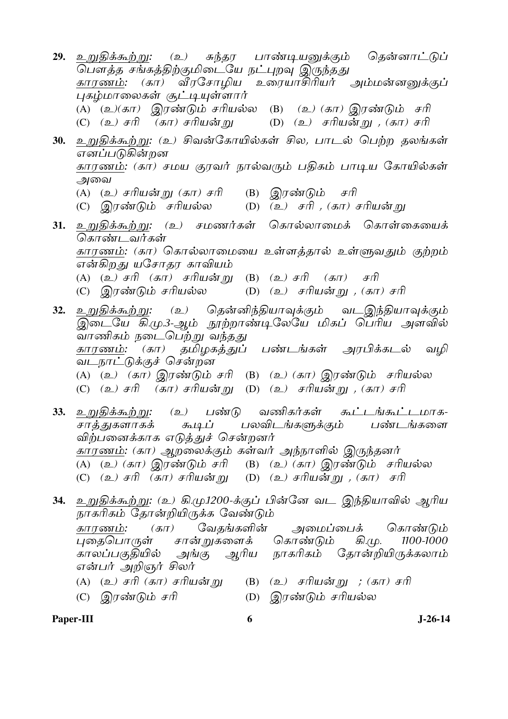- <u>29. உறுதிக்கூற்று: மு) சுந்தர பாண்டியனுக்கும் தென்னாட்டுப்</u> காரணம்: (கா) வீரசோமிய உரையாசிரியர் அம்மன்னனுக்குப் புகழ்மாலைகள் சூட்டியுள்ளார் (A) (உ)(கா) இரண்டும் சரியல்ல (B) (உ) (கா) இரண்டும் சரி (C) (உ) சரி (கா) சரியன்று (D) (உ) சரியன்று , (கா) சரி 30. உறுதிக்கூற்று: (உ) சிவன்கோயில்கள் சில, பாடல் பெற்ற தலங்கள் எனப்படுகின்றன காரணம்: (கா) சமய குரவர் நால்வரும் பதிகம் பாடிய கோயில்கள் அவை (A) (உ*) சரியன் று (கா) சரி* (B)  $\mathcal{Q}/\mathcal{T}$ ண்டும் சரி (C) இரண்டும் சரியல்ல (D)  $(a)$  சரி, (கா) சரியன் று 31. உறுதிக்கூற்று: (உ) சமணர்கள் கொல்லாமைக் கொள்கையைக் கொண்டவர்கள் காரணம்: (கா) கொல்லாமையை உள்ளத்தால் உள்ளுவதும் குற்றம் என்கிறது யசோதர காவியம் (A) (உ) சரி (கா) சரியன்று (B) (உ) சரி (கா) சரி (C) இரண்டும் சரியல்ல (D)  $(2)$  சரியன்று , (கா) சரி 32. உறுதிக்கூற்று: (உ) தென்னிந்தியாவுக்கும் வடஇந்தியாவுக்கும் இடையே கி.மு.3-ஆம் நூற்றாண்டிலேயே மிகப் பெரிய அளவில் *்...*<br>வாணிகம் நடைபெற்று வந்தது தமிழகத்துப் பண்டங்கள் அரபிக்கடல் காரணம்: (கா) வமி <u>வடநாட்டுக்குச் சென்றன</u> (A) (உ) (கா) இரண்டும் சரி (B) (உ) (கா) இரண்டும் சரியல்ல (C) (உ) சரி  $(\overline{s}\pi)$  சரியன்று (D) (உ) சரியன்று , (கா) சரி கூட்டங்கூட்டமாக- $\mathfrak{g}$ ) பண்டு வணிகர்கள் 33. உறுதிக்க<u>ூற்று</u>: சாத<u>் து</u>களாகக் கூடிப் பலவிடங்களுக்கும் பண்டங்களை விற்பனைக்காக எடுத்துச் சென்றனர் காரணம்: (கா) ஆறலைக்கும் கள்வர் அந்நாளில் இருந்தனர்  $\overline{(A)}$  (உ) (கா) இரண்டும் சரி (B) (உ) (கா) இரண்டும் சரியல்ல (C) (உ) சரி (கா) சரியன்று (D) (உ) சரியன்று , (கா) சரி 34. உறுதிக்கூற்று: (உ) கி.மு.1200-க்குப் பின்னே வட இந்தியாவில் ஆரிய நாகரிகம் தோன்றியிருக்க வேண்டும்  $(\mathbf{H})$ காாணம்: வேகங்களின் அமைப்பைக் கொண்டும் புகைபொருள் சான் றுகளைக் கொண்டும் கி.மு. 1100-1000 அங்கு ஆரிய நாகரிகம் தோன்றியிருக்கலாம் காலப்பகுதியில்
	- என்பர் அறிஞர் சிலர் (A) (உ*) சரி (கா) சரியன்* று
- (B)  $(2)$  சரியன்று ; (கா) சரி
- (D) இரண்டும் சரியல்ல (C) இரண்டும் சரி
	-

#### $J-26-14$

Paper-III

6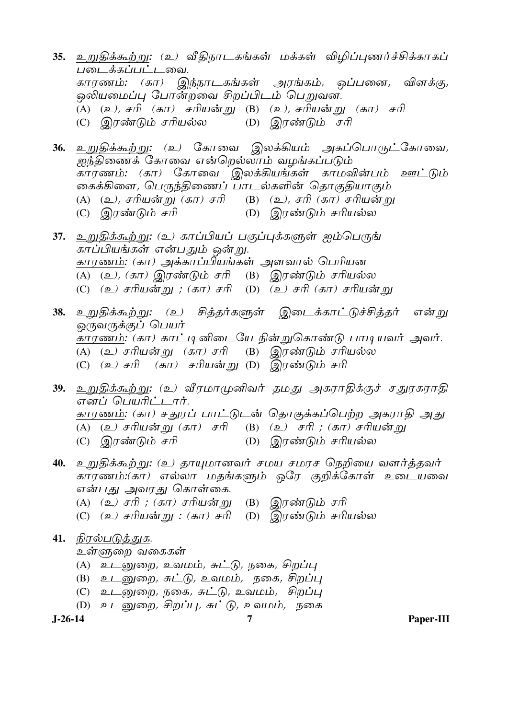- 35. உறுதிக்கூற்று: (உ) வீதிநாடகங்கள் மக்கள் விழிப்புணர்ச்சிக்காகப் படைக்கப்பட்டவை. காரணம்: (கா) இந்நாடகங்கள் அரங்கம், ஒப்பனை, விளக்கு, ஒலியமைப்பு போன்றவை சிறப்பிடம் பெறுவன. (A) (உ*), சரி (கா) சரியன்று* (B) (உ*), சரியன்று (கா) சரி* (D) இரண்டும் சரி (C) இரண்டும் சரியல்ல
- 36. உறுதிக்கூற்று: (உ) கோவை இலக்கியம் அகப்பொருட்கோவை, ஐந்திணைக் கோவை என்றெல்லாம் வழங்கப்படும் <u>காரணம்</u>: (கா) கோவை இலக்கியங்கள் காமவின்பம் ஊட்டும் கைக்கிளை, பெருந்திணைப் பாடல்களின் தொகுதியாகும் (A) (உ), சரியன்று (கா) சரி (B) (உ), சரி (கா) சரியன்று (D) இரண்டும் சரியல்ல (C) இரண்டும் சரி
- 37. உறுதிக்கூற்று: (உ) காப்பியப் பகுப்புக்களுள் ஐம்பெருங் காப்பியங்கள் என்பதும் ஒன்று. காரணம்: (கா) அக்காப்பியங்கள் அளவால் பெரியன (A) (உ), (கா) இரண்டும் சரி (B) இரண்டும் சரியல்ல (C) (உ) சரியன்று ; (கா) சரி (D) (உ) சரி (கா) சரியன்று
- 38. உறுதிக்கூற்று: (உ) சித்தர்களுள் இடைக்காட்டுச்சித்தர் என்று *ஒருவருக்குப் பெயர்* ,<br>காரணம்: (கா) காட்டினிடையே நின்றுகொண்டு பாடியவர் அவர். (A) (உ) சரியன்று (கா) சரி (B) இரண்டும் சரியல்ல (C) (உ) சரி (கா) சரியன்று (D) இரண்டும் சரி
- 39. உறுதிக்கூற்று: (உ) வீரமாமுனிவர் தமது அகராதிக்குச் சதுரகராதி எனப் பெயரிட்டார். <u>காரணம்</u>: (கா) சதுரப் பாட்டுடன் தொகுக்கப்பெற்ற அகராதி அது (A) (உ) சரியன்று (கா) சரி (B) (உ) சரி ; (கா) சரியன்று (D) இரண்டும் சரியல்ல (C) இரண்டும் சரி
- 40. உறுதிக்கூற்று: (உ) தாயுமானவர் சமய சமரச நெறியை வளர்த்தவர் காரணம்:(கா) எல்லா மதங்களும் ஒரே குறிக்கோள் உடையவை என்பது அவரது கொள்கை.
	- (A) (உ) சரி ; (கா) சரியன்று (B) இரண்டும் சரி
	- (C) (உ) சரியன்று : (கா) சரி (D) இரண்டும் சரியல்ல

# 41. நிரல்படுத்துக.

உள்ளுறை வகைகள்

- (A) உடனுறை, உவமம், சுட்டு, நகை, சிறப்பு
- (B) உடனுறை, சுட்டு, உவமம், நகை, சிறப்பு
- (C) உடனுறை, நகை, சுட்டு, உவமம், சிறப்பு
- (D) உடனுறை, சிறப்பு, சுட்டு, உவமம், நகை

 $J-26-14$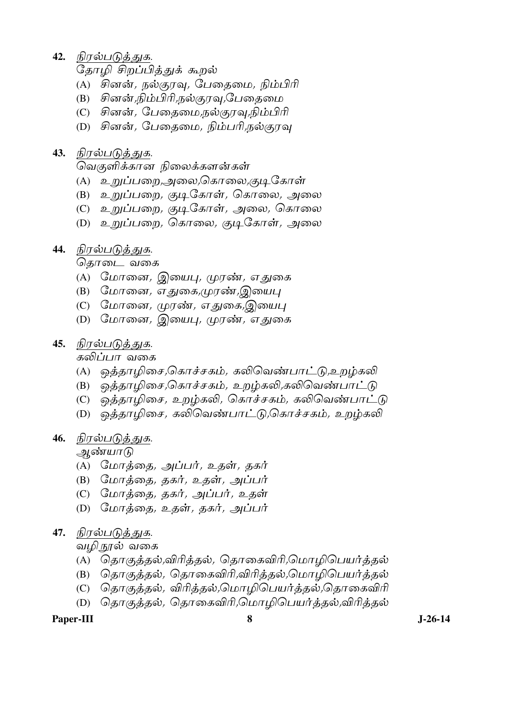42. நிரல்படுத்துக.

தோமி சிறப்பித்துக் கூறல்

- $(A)$  சினன், நல்குரவு, பேதைமை, நிம்பிரி
- (B) சினன்,நிம்பிரி,நல்குரவு,பேதைமை
- (C) சினன், பேதைமை,நல்குரவு,நிம்பிரி
- (D) சினன், பேகைமை, நிம்பரி,நல்காவ

#### **43.** நிரல்படுத்துக.

வெகுளிக்கான நிலைக்களன்கள்

- (A) உறுப்பறை,அலை,கொலை,குடிகோள்
- (B) உறுப்பறை*, குடிகோள், கொலை, அலை*
- (C) உறுப்பறை*,* குடிகோள்*,* அலை*,* கொலை
- (D) உறுப்பறை*, கொலை, குடிகோள், அலை*
- 44. நிரல்படுத்துக.

தொடை வகை

- (A) மோனை, இயைபு, முரண், எதுகை
- (B) மோனை, எதுகை,முரண்,இயைபு
- (C) மோனை, முரண், எதுகை,இயைபு
- (D) மோனை*,* இயைபு*, முர*ண்*, எதுகை*
- 45. நிரல்படுத்துக.

கலிப்பா வகை

- (A) ஒத்தாழிசை,கொச்சகம், கலிவெண்பாட்டு,உறம்கலி
- (B) ஒத்தாழிசை,கொச்சகம், உறழ்கலி,கலிவெண்பாட்டு
- (C) ஒத்தாழிசை, உறழ்கலி, கொச்சகம், கலிவெண்பாட்டு
- (D) ஒத்தாழிசை, கலிவெண்பாட்டு,்கொச்சகம், உறழ்கலி

#### 46. நிரல்படுத்துக.

ஆண்யாடு

- (A) மோத்தை, அப்பர், உதள், தகர்
- $(B)$  மோத்தை, தகர், உதள், அப்பர்
- (C) மோத்தை, தகர், அப்பர், உதள்
- (D) மோத்தை, உதள், தகர், அப்பர்

### 47. நிரல்படுத்துக.

வழ<u>ி ந</u>ூல் வகை

- (A) தொகுத்தல்,விரித்தல், தொகைவிரி,மொழிபெயர்த்தல்
- (B) தொகுத்தல், தொகைவிரி,விரித்தல்,மொழிபெயர்த்தல்
- (C) தொகுத்தல், விரித்தல்,மொழிபெயர்த்தல்,தொகைவிரி
- (D) தொகுத்தல், தொகைவிரி,மொழிபெயர்த்தல்,விரித்தல்

Paper-III 8 **8** J-26-14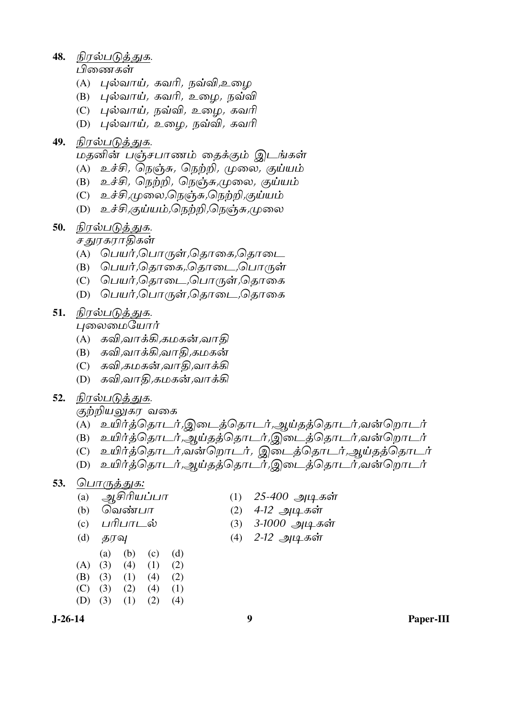**48.** நிரல்படுத்துக.

<u>பிணைகள்</u>

- $(A)$  புல்வாய், கவரி, நவ்வி,உமை
- $(B)$  புல்வாய், கவரி, உழை, நவ்வி
- $(C)$  புல்வாய், நவ்வி, உழை, கவரி
- (D) புல்வாய், உழை, நவ்வி, கவரி

## 49. நிரல்படுக்குக.

மகனின் பஞ்சபாணம் கைக்கும் இடங்கள்

- $(A)$  உச்சி, நெஞ்சு, நெற்றி, முலை, குய்யம்
- $(B)$  உச்சி, நெற்றி, நெஞ்சு,முலை, குய்யம்
- $(C)$  உச்சி,முலை,நெஞ்சு,நெற்றி,குய்யம்
- (D) உச்சி,குய்யம்,நெற்றி,நெஞ்சு,முலை
- 50. நிரல்படுத்துக.

சதுரகராதிகள்

- (A) பெயர்*,*பொருள்*,*தொகை*,தொடை*
- (B) பெயர்*,*தொகை*,*.தொடை*,பொருள்*
- (C) பெயர்,தொடை,பொருள்,தொகை
- (D) பெயர்,பொருள்,தொடை,தொகை
- 51. நிரல்படுத்துக.
	- புலைமையோர்
	- $(A)$  கவி,வாக்கி,கமகன்,வாதி
	- (B) கவி,வாக்கி,வாதி,கமகன்
	- (C) கவி,கமகன்,வாதி,வாக்கி
	- (D) கவி,வாதி,கமகன்,வாக்கி
- 52. நிரல்படுத்துக.

கு<u>ற்றியலு</u>கர வகை

- (A) உயிர்த்தொடர்,இடைத்தொடர்,அய்தத்தொடர்,வன்றொடர்
- (B) உயிர்த்தொடர்,ஆய்தத்தொடர்,இடைத்தொடர்,வன்றொடர்
- (C) உயிர்த்தொடர்,வன்றொடர், இடைத்தொடர்,ஆய்தத்தொடர்
- (D) உயிர்த்தொடர்,ஆய்தத்தொடர்,இடைத்தொடர்,வன்றொடர்

### 53. பொருத்துக:

- 
- 
- 
- 

|           | (a) |             | $(b)$ (c) | (d) |
|-----------|-----|-------------|-----------|-----|
| $(A)$ (3) |     | (4)         | (1)       | (2) |
| $(B)$ (3) |     | $(1)$ $(4)$ |           | (2) |
| $(C)$ (3) |     | (2)         | (4)       | (1) |
| $(D)$ (3) |     | (1)         | (2)       | (4) |

- (a) ஆசிரியப்பா (1) 25-400 அடிகள்<br>(b) வெண்பா (2) 4-12 அடிகள்
	- வெண்பா (2) 4-12 அடிகள்<br>பரிபாடல் (3) 3-1000 அடிக
- (c) பரிபாடல் (3) 3-1000 அடிகள்
- (d) தரவு (4)  $2$ -12 அடிகள்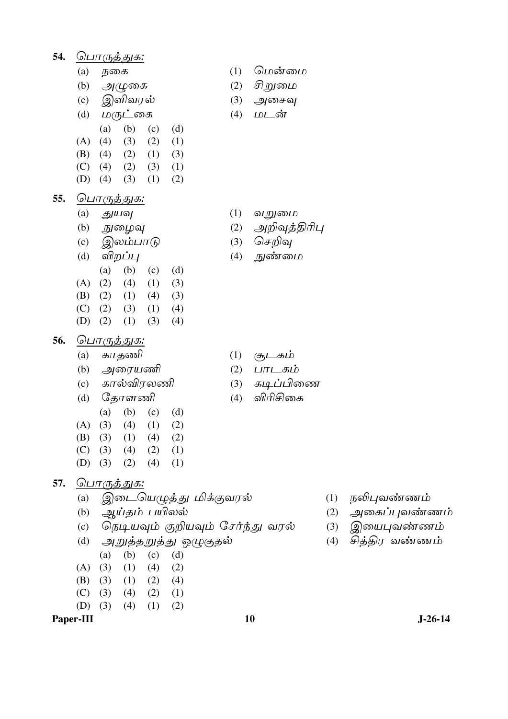| 54. |     | <u> பொருத்துக:</u>                    |     |         |
|-----|-----|---------------------------------------|-----|---------|
|     | (a) | நகை                                   | (1) | மென்    |
|     | (b) | அழுகை                                 | (2) | சிறுமை  |
|     | (c) | இளிவரல்                               | (3) | அசைவு   |
|     | (d) | மருட்கை                               | (4) | மடன்    |
|     |     | (b)<br>(a)<br>(d)<br>(c)              |     |         |
|     | (A) | (4)<br>(3)<br>(2)<br>(1)              |     |         |
|     | (B) | (2)<br>(4)<br>(1)<br>(3)              |     |         |
|     | (C) | (2)<br>(4)<br>(3)<br>(1)              |     |         |
|     | (D) | (4)<br>(3)<br>(1)<br>(2)              |     |         |
| 55. |     | <u> பொருத்துக:</u>                    |     |         |
|     | (a) | துயவு                                 | (1) | வறுமை   |
|     | (b) | நுழைவு                                | (2) | அறிவுத் |
|     | (c) | இலம்பாடு                              | (3) | செறிவு  |
|     | (d) | விறப்பு                               | (4) | நுண்மை  |
|     |     | (b)<br>(a)<br>(d)<br>(c)              |     |         |
|     | (A) | (2)<br>(4)<br>(1)<br>(3)              |     |         |
|     | (B) | (2)<br>(1)<br>(4)<br>(3)              |     |         |
|     | (C) | $(2)$ $(3)$<br>(1)<br>(4)             |     |         |
|     | (D) | (2)<br>(1)<br>(3)<br>(4)              |     |         |
| 56. |     | <u> பொருத்துக:</u>                    |     |         |
|     | (a) | காதணி                                 | (1) | சூடகம்  |
|     | (b) | அரையணி                                | (2) | பாடகப்  |
|     | (c) | கால்விரலணி                            | (3) | கடிப்பி |
|     | (d) | தோளணி                                 | (4) | விரிசி  |
|     |     | (b)<br>(a)<br>(c)<br>(d)              |     |         |
|     | (A) | (3)<br>(4)<br>(1)<br>(2)              |     |         |
|     | (B) | $(3)$ $(1)$ $(4)$ $(2)$               |     |         |
|     |     | $(C)$ (3) (4) (2) (1)                 |     |         |
|     |     | (D) (3) (2) (4) (1)                   |     |         |
| 57. |     | <u> பொருத்துக:</u>                    |     |         |
|     | (a) | இடையெழுத்து மிக்குவரல்                |     |         |
|     |     | (b) ஆய்தம் பயிலல்                     |     |         |
|     |     | (c) நெடியவும் குறியவும் சேர்ந்து வரல் |     |         |
|     |     | (d)   அறுத்தறுத்து ஒழுகுதல்           |     |         |

- - வறுமை
	- அறிவுத்திரிபு

மென்மை சிறுமை அசைவு மடன்

- செறிவு
- நுண்மை

- சூடகம்
- பாடகம்
- கடிப்பிணை
- விரிசிகை

10

- (1) நலிபுவண்ணம்
- $(2)$  அகைப்புவண்ணம்
- (3) இயைபுவண்ணம்
- (4) சித்திர வண்ணம்
- $(c)$   $(d)$  $(a)$   $(b)$
- $(A)$  (3)  $(4)$   $(2)$  $(1)$
- $(B)$  (3)  $(1)$   $(2)$   $(4)$
- $(C)$  (3)  $(4)$   $(2)$   $(1)$  $(1)$  $(2)$
- $(D)$  (3)  $(4)$

Paper-III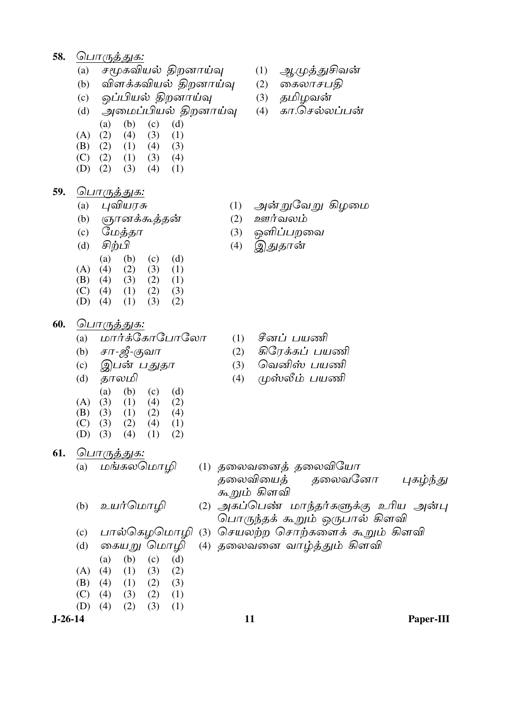- 58. பொருத்துக:
	- சமூகவியல் திறனாய்வு  $(a)$
	- விளக்கவியல் திறனாய்வு  $(b)$
	- ஒப்பியல் திறனாய்வு  $(c)$
	- அமைப்பியல் திறனாய்வு  $(d)$
	- $(a)$  $(b)$  $(c)$  $(d)$
	- $(A)$  $(2)$  $(4)$  $(3)$  $(1)$
	- (B)  $(2)$  $(1)$  $(4)$  $(3)$  $(C)$  (2)  $(1)$  $(3)$  $(4)$
	- $(D)$  (2)  $(3)$   $(4)$  $(1)$
- 59. பொருத்துக:
	- புவியரசு  $(a)$
	- $(b)$ ரூானக்கூத்தன்
	- மேத்தா  $(c)$
	- சிற்பி  $(d)$  $(a)$  $(c)$  $(d)$  $(b)$  $(A)$  $(4)$  $(2)$  $(3)$  $(1)$  $(B)$  (4)  $(3)$  $(2)$  $(1)$  $(C)$  (4)  $(1)$  $(2)$  $(3)$  $(D)$  (4)  $(1)$  $(2)$  $(3)$
- 60. பொர<u>ுத்துக:</u>
	- மார்க்கோபோலோ  $(a)$
	- சா-ஜீ-குவா  $(b)$
	- இபன் பதுதா  $(c)$
	- தாலமி  $(d)$  $(a)$  $(d)$  $(b)$  $(c)$  $(A)$  $(1)$  $(4)$  $(2)$  $(3)$  $(B)$  (3)  $(1)$  $(2)$  $(4)$
	- $(1)$  $(C)$  (3)  $(2)$  $(4)$  $(D)$  (3)  $(4)$  $(2)$  $(1)$
- 61. பொருத்துக:

மங்கலமொமி  $(a)$ 

- உயர்மொழி  $(b)$
- $(c)$
- கையறு மொழி  $(d)$ 
	- $(a)$  $(b)$  $(c)$  $(d)$
- $(A)$  $(4)$  $(3)$  $(2)$  $(1)$
- (B)  $(4)$  $(1)$   $(2)$  $(3)$
- $(C)$  $(4)$  $(2)$  $(1)$  $(3)$  $(D)$  $(4)$  $(2)$  $(3)$  $(1)$
- $J-26-14$
- $(1)$ ஆ.முத்துசிவன்
- $(2)$  கைலாசபதி
- (3) தமிழவன்
- கா.செல்லப்பன்  $(4)$

- அன்றுவேறு கிழமை  $(1)$
- ஊர்வலம்  $(2)$
- ஒளிப்பறவை  $(3)$
- இதுதான்  $(4)$

- சீனப் பயணி  $(1)$
- கிரேக்கப் பயணி  $(2)$
- வெனிஸ் பயணி  $(3)$
- $(4)$ முஸ்லீம் பயணி

- (1) தலைவனைத் தலைவியோ தலைவியைத் தலைவனோ புகழ்ந்து க<u>ூறு</u>ம் கிளவி (2) அகப்பெண் மாந்தர்களுக்கு உரிய அன்பு
	- பொருந்தக் கூறும் ஒருபால் கிளவி
- பால்கெழமொழி (3) செயலற்ற சொற்களைக் கூறும் கிளவி
	- (4) தலைவனை வாழ்<u>த்</u>தும் கிளவி

Paper-III

11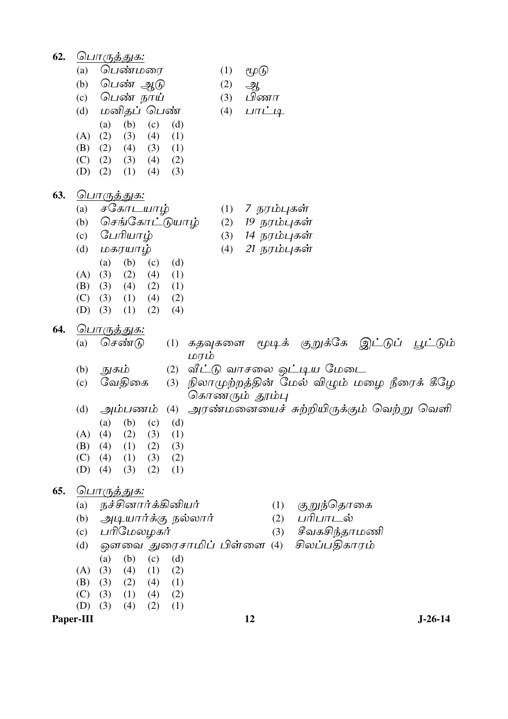62. பொருத்துக: பெண்மரை  $(1)$  $\ell \mathcal{L}(\widehat{b})$  $(a)$ (b)  $\Omega$ பண் ஆடு  $(2)$ ஆ பிணா  $(c)$ பெண் நாய்  $(3)$ பாட்டி மனிதப் பெண்  $(d)$  $(4)$  $(b)$  $(d)$  $(a)$  $(c)$  $(A)$  $(2)$  $(4)$  $(1)$  $(3)$ (B)  $(2)$  $(4)$  $(3)$  $(1)$  $(C)$  (2)  $(3)$   $(4)$  $(2)$  $(D)$  (2)  $(1)$  $(4)$  $(3)$ 63. பொருத்துக: சகோடயாழ் 7 நரம்புகள்  $(a)$  $(1)$ செங்கோட்டுயாம்  $(2)$ 19 நரம்புகள்  $(b)$ பேரியாழ் 14 நரம்புகள்  $(c)$  $(3)$ 21 நரம்புகள் மகரயாழ்  $(4)$  $(d)$  $(a)$  $(b)$  $(c)$  $(d)$  $(A)$  $(3)$  $(2)$  $(4)$  $(1)$  $(B)$  (3)  $(4)$   $(2)$  $(1)$  $(C)$  (3)  $(2)$  $(1)$   $(4)$  $(1)$   $(2)$  $(D)$  (3)  $(4)$ 64. பொருத்துக: செண்டு  $(a)$  $(1)$  கதவுகளை மூடிக் குறுக்கே இட்டுப் <u>பூ</u>ட்டும் மாம் நுகம் (2) வீட்டு வாசலை ஒட்டிய மேடை  $(b)$ (3) நிலாமுற்றத்தின் மேல் விழும் மழை நீரைக் கீழே வேதிகை  $(c)$ கொணரும் தூம்பு *அரண்மனையைச் சுற்றியிருக்கும் வெற்று வெளி*  $(d)$ அம்பணம்  $(4)$  $(a)$  $(b)$  $(c)$  $(d)$  $(A)$  $(4)$  $(2)$  $(3)$  $(1)$ (B)  $(4)$  $(1)$  $(2)$  $(3)$  $(C)$  $(4)$  $(1)$  $(3)$  $(2)$  $(D)$  (4)  $(3)$  $(2)$  $(1)$ 65. <u> பொருத்துக:</u> நச்சினார்க்கினியர் குறுந்தொகை  $(a)$  $(1)$ அடியார்க்கு நல்லார்  $(2)$ பரிபாடல்  $(b)$  $(c)$ பரிமேலழகர்  $(3)$ சீவகசிந்தாமணி ஔவை துரைசாமிப் பிள்ளை (4) சிலப்பதிகாரம்  $(d)$  $(a)$  $(b)$  $(c)$  $(d)$  $(A)$  $(3)$  $(4)$  $(1)$  $(2)$  $(B)$  (3)  $(2)$  $(4)$  $(1)$  $(2)$  $(C)$  $(3)$  $(1)$  $(4)$  $(D)$  (3)  $(4)$  $(2)$  $(1)$ 

Paper-III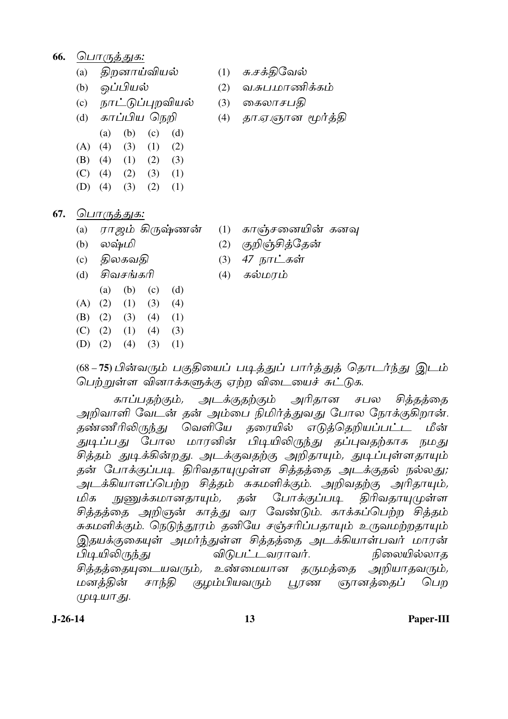- 66. பொருத்துக:
	- திறனாய்வியல்  $(a)$
	- (b) ஒப்பியல்
	- (c) நாட்டுப்புறவியல்
	- காப்பிய நெறி  $(d)$
	- $(b)$  $(c)$  $(d)$  $(a)$  $(A)$  (4)  $(3)$  $(1)$  $(2)$  $(B)$  (4)  $(1)$   $(2)$   $(3)$
	- $(C)$  (4)  $(2)$   $(3)$   $(1)$
	- $(D)$  (4)  $(3)$   $(2)$  $(1)$
- 67. பொருத்துக:
	- (a) ராஜம் கிருஷ்ணன்
	- $(b)$  லஷ்மி
	- திலகவதி  $(c)$
	- சிவசங்கரி  $(d)$
	- $(b)$  $(c)$  $(a)$  $(d)$
	- $(A) (2)$  $(1)$  $(3)$  $(4)$  $(B) (2)$  $(3)$   $(4)$  $(1)$
	- $(C)$   $(2)$  $(1)$  $(4)$  $(3)$
	- $(D)$   $(2)$  $(4)$  $(3)$  $(1)$
- சு.சக்திவேல்  $(1)$
- வ.சுப.மாணிக்கம்  $(2)$
- கைலாசபகி  $(3)$
- தா.ஏ.ஞான மூர்த்தி  $(4)$

- $(1)$  காஞ்சனையின் கனவு
- குறிஞ்சித்தேன்  $(2)$
- 47 நாட்கள்  $(3)$
- $(4)$ கல்மரம்

(68–75)பின்வரும் பகுதியைப் படித்துப் பார்த்துத் தொடர்ந்து இடம் பெற்றுள்ள வினாக்களுக்கு ஏற்ற விடையைச் சுட்டுக.

காப்பதற்கும், அடக்குதற்கும் அரிதான சபல சிக்கக்கை அறிவாளி வேடன் தன் அம்பை நிமிர்த்துவது போல நோக்குகிறான். தண்ணீரிலிருந்து வெளியே தரையில் எடுத்தெறியப்பட்*ட* மீன் துடிப்பது போல மாரனின் பிடியிலிருந்து தப்புவதற்காக நமது சித்தம் துடிக்கின்றது. அடக்குவதற்கு அறிதாயும், துடிப்புள்ளதாயும் தன் போக்குப்படி திரிவதாயுமுள்ள சித்தத்தை அடக்குதல் நல்லது; அடக்கியாளப்பெற்ற சித்தம் சுகமளிக்கும். அறிவதற்கு அரிதாயும், நுணுக்கமானதாயும், தன் மிக போக்குப்படி திரிவதாயுமுள்ள சித்தத்தை அறிஞன் காத்து வர வேண்டும். காக்கப்பெற்ற சித்தம் சுகமளிக்கும். நெடுந்தூரம் தனியே சஞ்சரிப்பதாயும் உருவமற்றதாயும் இதயக்குகையுள் அமர்ந்துள்ள சித்தத்தை அடக்கியாள்பவர் மாரன் *விடுபட்டவராவர்.* பிடியிலிருந்து நிலையில்லாத சித்தத்தையுடையவரும், உண்மையான தருமத்தை அறியாதவரும், மனத்தின் குழம்பியவரும் பூரண சாந்தி <u>ஞானத்தைப்</u> பொ (முடியாது.

 $J-26-14$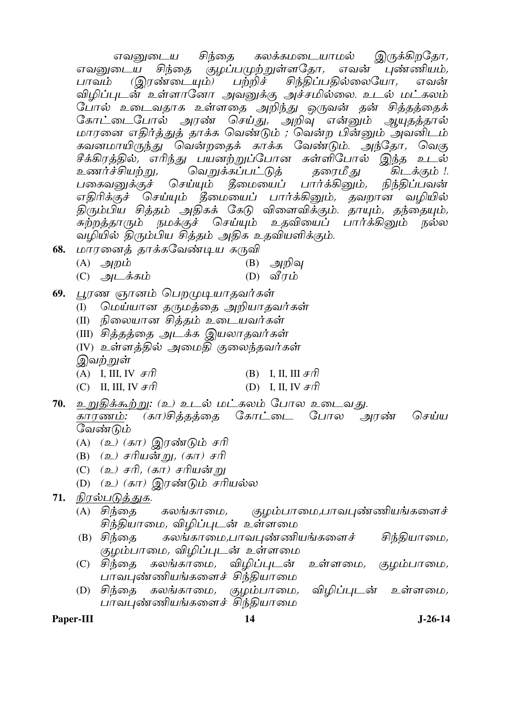இருக்கிறதோ, கலக்கமடையாமல் சிந்தை எவனுடைய <u>சிந்தை குழப்பமுற்றுள்ளதோ,</u> எவனுடைய எவன் புண்ணியம், <u>(இரண்டையும்)</u> பற்றிச் சிந்திப்பதில்லையோ, பாவம் எவன் விழிப்புடன் உள்ளானோ அவனுக்கு அச்சமில்லை. உடல் மட்கலம் போல் உடைவதாக உள்ளதை அறிந்து ஒருவன் தன் சித்தத்தைக் கோட்டைபோல் அரண் செய்து, அறிவு என்னும் ஆயுதத்தால் மாரனை எதிர்த்துத் தாக்க வெண்டும் ; வென்ற பின்னும் அவனிடம் கவனமாயிருந்து வென்றதைக் காக்க வேண்டும். அந்தோ, வெகு சீக்கிரத்தில், எரிந்து பயனற்றுப்போன சுள்ளிபோல் இந்த உடல் வெ*றுக்கப்பட்டுத்* கிடக்கும் !. உணர்ச்சியற்று*,* தரைமீ <u>த</u>ு பகைவனுக்குச் செய்யும் தீமையைப் பார்க்கினும், நிந்திப்பவன் எதிரிக்குச் செய்யும் தீமையைப் பார்க்கினும், தவறான வழியில் திரும்பிய சித்தம் அதிகக் கேடு விளைவிக்கும். தாயும், தந்தையும், சுற்றத்தாரும் நமக்குச் செய்யும் உதவியைப் பார்க்கினும் நல்ல வழியில் திரும்பிய சித்தம் அதிக உதவியளிக்கும்.

- மாரனைத் தாக்கவேண்டிய கருவி 68.
	- $(A)$  *அற*ம்  $(B)$  அறிவு
	- $(C)$  அடக்கம் (D) வீரம்
- பூரண ஞானம் பெறமுடியாதவர்கள் 69.
	- மெய்யான தருமத்தை அறியாதவர்கள்  $(I)$
	- (II) நிலையான சித்தம் உடையவர்கள்
	- (III) சித்தத்தை அடக்க இயலாதவர்கள்
	- (IV) உள்ளத்தில் அமைதி குலைந்தவர்கள்

இவ<u>ற் ற</u>ுள்

- (A) I, III, IV  $\mathcal{F}\hat{\pi}$ (B) I, II, III  $\#$ ft
- (C) II, III, IV  $\mathcal{F}\hat{\pi}$ (D) I, II, IV  $\mathcal{F}$ ff
- 70. உறுதிக்கூற்று: (உ) உடல் மட்கலம் போல உடைவது. கோட்டை போல காரணம்: (கா)சிக்கக்கை அரண் செய்ய வேண்டும்
	- (A) (உ) (கா) இரண்டும் சரி
	- (B)  $(2)$  சரியன்று,  $(5\pi)$  சரி
	- (C) (உ) சரி, (கா) சரியன்று
	- (D) (உ) (கா) இரண்டும் சரியல்ல
- 71. நிரல்படுத்துக.
	- (A) சிந்தை கலங்காமை, <u>குழம்பாமை,பாவபுண்ணியங்களைச்</u> சிந்தியாமை*,* விழிப்புடன் உள்ளமை
	- சிந்தியாமை, கலங்காமை,பாவபுண்ணியங்களைச்  $(B)$  சிந்தை குழம்பாமை, விழிப்புடன் உள்ளமை
	- (C) சிந்தை கலங்காமை*,* விழிப்புடன் உள்ளமை, குழம்பாமை, பாவபுண்ணியங்களைச் சிந்தியாமை
	- குழம்பாமை, விழிப்புடன் உள்ளமை, (D) சிந்தை கலங்காமை*,* பாவபுண்ணியங்களைச் சிந்தியாமை

Paper-III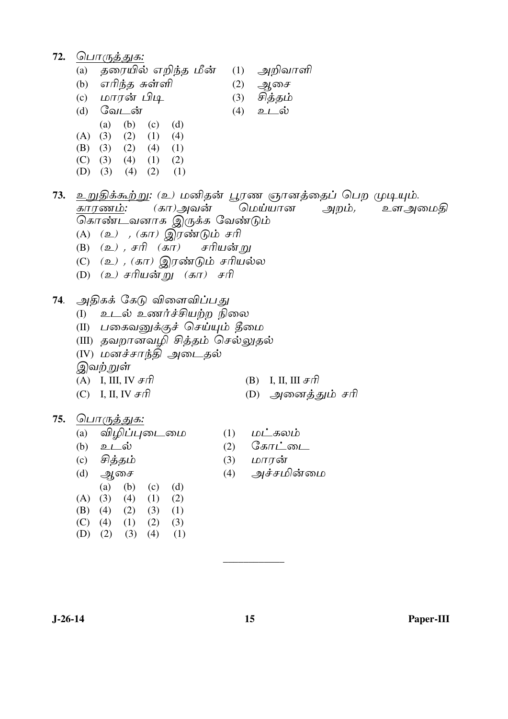72. பொருத்துக: (a) தரையில் எறிந்த மீன்  $(1)$ அறிவாளி (b) எரிந்த சுள்ளி  $(2)$ அசை (c) மாரன் பிடி சித்தம்  $(3)$  $(d)$  வேடன்  $(4)$ உடல் (a) (b) (c) (d)  $(A) (3)$  $(2)$   $(1)$   $(4)$  $(B) (3)$  $(2)$   $(4)$   $(1)$  $(C)$  (3)  $(4)$   $(1)$   $(2)$ (D) (3) (4) (2)  $(1)$ 73. உறுதிக்கூற்று: (உ) மனிதன் பூரண ஞானத்தைப் பெற முடியும். (கா)அவன் காரணம்: மெய்யான அறம், உளஅமைதி கொண்டவனாக இருக்க வேண்டும் (A) (உ) , (கா) இரண்டும் சரி  $(B)$   $(\mathfrak{D})$ ,  $\mathfrak{F}(\mathfrak{D})$   $(\mathfrak{F}(\mathfrak{D}))$ சரியன் ம (C)  $(2)$ ,  $(5\pi)$  இரண்டும் சரியல்ல (D) (உ) சரியன்று (கா) சரி 74. அதிகக் கேடு விளைவிப்பது (I) உடல் உணர்ச்சியற்ற நிலை (II) பகைவனுக்குச் செய்யும் தீமை (III) தவறானவமி சிக்கம் செல்லுகல் (IV) மனச்சாந்தி அடைதல் இவற்றுள் (A) I, III, IV  $\mathcal{F}\hat{\pi}$ (B) I. II. III  $\#$ ffl (C) I, II, IV  $\mathcal{F}\hat{\Pi}$ (D) அனைத்தும் சரி 75. பொருத்துக: (a) விழிப்புடைமை  $(1)$   $\omega$   $\Delta$   $\omega$   $\omega$ (2)  $G_{\mathcal{B}}$  $\pi \dot{\mathcal{L}}$   $\omega \mathcal{L}$ (b)  $2\mathcal{L}$  ov (3)  $LDTT\dot{\sigma T}$  $(c)$  சித்தம் ஆசை அச்சமின்மை  $(4)$  $(d)$  $(a)$ (b) (c) (d)  $(A) (3)$  $(4)$   $(1)$   $(2)$  $(B)$  (4)  $(2)$   $(3)$   $(1)$  $(C)$  (4)  $(1)$   $(2)$  $(3)$  $(D)$  (2)  $(3)$   $(4)$  $(1)$